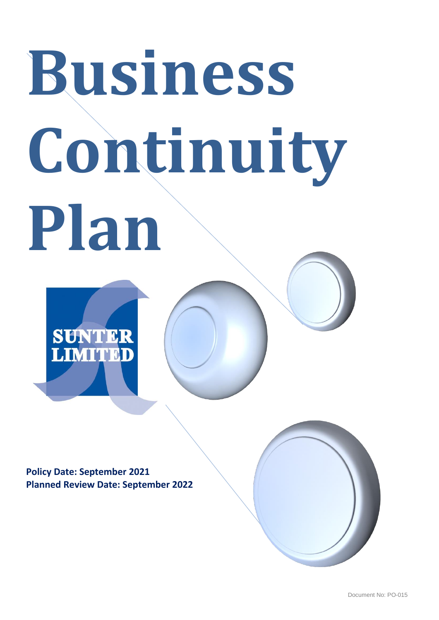# **Business Continuity Plan**

**SUNTER**<br>LIMITED

**Policy Date: September 2021 Planned Review Date: September 2022**

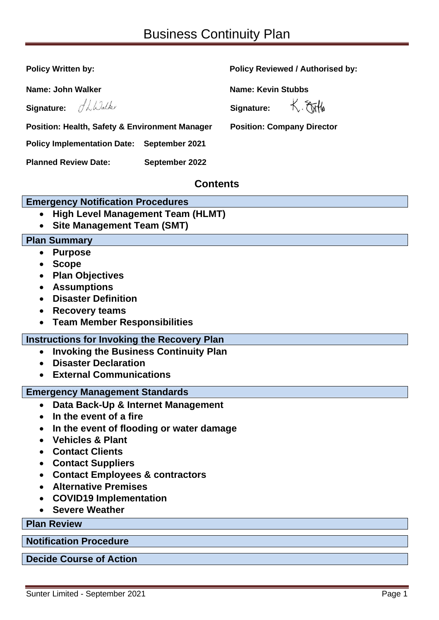| <b>Policy Written by:</b>                                                                  | <b>Policy Reviewed / Authorised by:</b> |  |
|--------------------------------------------------------------------------------------------|-----------------------------------------|--|
| Name: John Walker                                                                          | <b>Name: Kevin Stubbs</b>               |  |
| Signature: Albalky                                                                         | K. Etitle<br>Signature:                 |  |
| <b>Position: Health, Safety &amp; Environment Manager</b>                                  | <b>Position: Company Director</b>       |  |
| <b>Policy Implementation Date: September 2021</b>                                          |                                         |  |
| <b>Planned Review Date:</b><br>September 2022                                              |                                         |  |
| <b>Contents</b>                                                                            |                                         |  |
| <b>Emergency Notification Procedures</b>                                                   |                                         |  |
| <b>High Level Management Team (HLMT)</b><br>$\bullet$<br><b>Site Management Team (SMT)</b> |                                         |  |
| <b>Plan Summary</b>                                                                        |                                         |  |
| <b>Purpose</b><br>$\bullet$                                                                |                                         |  |
| <b>Scope</b><br>$\bullet$                                                                  |                                         |  |
| <b>Plan Objectives</b>                                                                     |                                         |  |
| <b>Assumptions</b>                                                                         |                                         |  |
| <b>Disaster Definition</b>                                                                 |                                         |  |
| <b>Recovery teams</b><br>$\bullet$                                                         |                                         |  |
| <b>Team Member Responsibilities</b>                                                        |                                         |  |
| <b>Instructions for Invoking the Recovery Plan</b>                                         |                                         |  |
| <b>Invoking the Business Continuity Plan</b><br>$\bullet$                                  |                                         |  |
| <b>Disaster Declaration</b>                                                                |                                         |  |
| <b>External Communications</b>                                                             |                                         |  |
| <b>Emergency Management Standards</b>                                                      |                                         |  |
| Data Back-Up & Internet Management<br>$\bullet$                                            |                                         |  |
| In the event of a fire<br>$\bullet$                                                        |                                         |  |
| In the event of flooding or water damage                                                   |                                         |  |
| <b>Vehicles &amp; Plant</b><br><b>Contact Clients</b>                                      |                                         |  |
|                                                                                            |                                         |  |
| <b>Contact Suppliers</b><br><b>Contact Employees &amp; contractors</b><br>$\bullet$        |                                         |  |
| <b>Alternative Premises</b>                                                                |                                         |  |
| <b>COVID19 Implementation</b>                                                              |                                         |  |
| <b>Severe Weather</b>                                                                      |                                         |  |
| <b>Plan Review</b>                                                                         |                                         |  |
|                                                                                            |                                         |  |
| <b>Notification Procedure</b>                                                              |                                         |  |
| <b>Decide Course of Action</b>                                                             |                                         |  |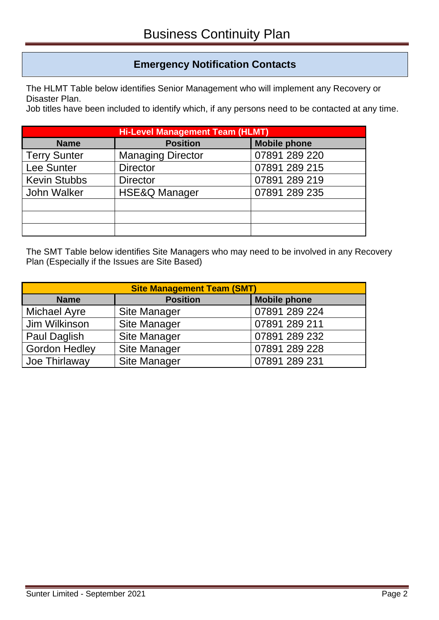# **Emergency Notification Contacts**

The HLMT Table below identifies Senior Management who will implement any Recovery or Disaster Plan.

Job titles have been included to identify which, if any persons need to be contacted at any time.

| <b>Hi-Level Management Team (HLMT)</b> |                          |                     |  |
|----------------------------------------|--------------------------|---------------------|--|
| <b>Name</b>                            | <b>Position</b>          | <b>Mobile phone</b> |  |
| <b>Terry Sunter</b>                    | <b>Managing Director</b> | 07891 289 220       |  |
| <b>Lee Sunter</b>                      | <b>Director</b>          | 07891 289 215       |  |
| <b>Kevin Stubbs</b>                    | <b>Director</b>          | 07891 289 219       |  |
| John Walker                            | <b>HSE&amp;Q Manager</b> | 07891 289 235       |  |
|                                        |                          |                     |  |
|                                        |                          |                     |  |
|                                        |                          |                     |  |

The SMT Table below identifies Site Managers who may need to be involved in any Recovery Plan (Especially if the Issues are Site Based)

| <b>Site Management Team (SMT)</b> |                     |                     |
|-----------------------------------|---------------------|---------------------|
| <b>Name</b>                       | <b>Position</b>     | <b>Mobile phone</b> |
| <b>Michael Ayre</b>               | <b>Site Manager</b> | 07891 289 224       |
| Jim Wilkinson                     | <b>Site Manager</b> | 07891 289 211       |
| Paul Daglish                      | <b>Site Manager</b> | 07891 289 232       |
| <b>Gordon Hedley</b>              | <b>Site Manager</b> | 07891 289 228       |
| Joe Thirlaway                     | <b>Site Manager</b> | 07891 289 231       |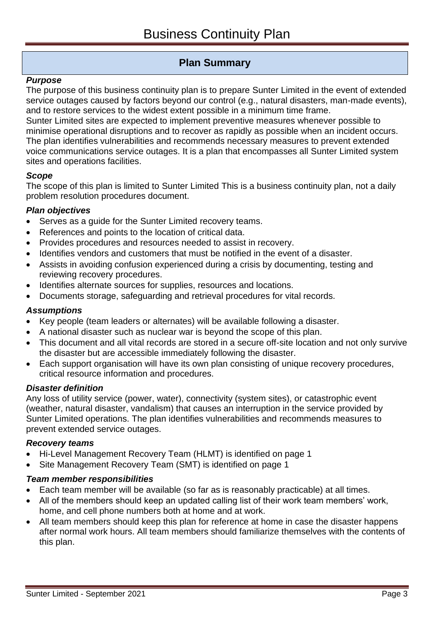# **Plan Summary**

## *Purpose*

The purpose of this business continuity plan is to prepare Sunter Limited in the event of extended service outages caused by factors beyond our control (e.g., natural disasters, man-made events), and to restore services to the widest extent possible in a minimum time frame.

Sunter Limited sites are expected to implement preventive measures whenever possible to minimise operational disruptions and to recover as rapidly as possible when an incident occurs. The plan identifies vulnerabilities and recommends necessary measures to prevent extended voice communications service outages. It is a plan that encompasses all Sunter Limited system sites and operations facilities.

## *Scope*

The scope of this plan is limited to Sunter Limited This is a business continuity plan, not a daily problem resolution procedures document.

## *Plan objectives*

- Serves as a guide for the Sunter Limited recovery teams.
- References and points to the location of critical data.
- Provides procedures and resources needed to assist in recovery.
- Identifies vendors and customers that must be notified in the event of a disaster.
- Assists in avoiding confusion experienced during a crisis by documenting, testing and reviewing recovery procedures.
- Identifies alternate sources for supplies, resources and locations.
- Documents storage, safeguarding and retrieval procedures for vital records.

#### *Assumptions*

- Key people (team leaders or alternates) will be available following a disaster.
- A national disaster such as nuclear war is beyond the scope of this plan.
- This document and all vital records are stored in a secure off-site location and not only survive the disaster but are accessible immediately following the disaster.
- Each support organisation will have its own plan consisting of unique recovery procedures, critical resource information and procedures.

#### *Disaster definition*

Any loss of utility service (power, water), connectivity (system sites), or catastrophic event (weather, natural disaster, vandalism) that causes an interruption in the service provided by Sunter Limited operations. The plan identifies vulnerabilities and recommends measures to prevent extended service outages.

#### *Recovery teams*

- Hi-Level Management Recovery Team (HLMT) is identified on page 1
- Site Management Recovery Team (SMT) is identified on page 1

#### *Team member responsibilities*

- Each team member will be available (so far as is reasonably practicable) at all times.
- All of the members should keep an updated calling list of their work team members' work, home, and cell phone numbers both at home and at work.
- All team members should keep this plan for reference at home in case the disaster happens after normal work hours. All team members should familiarize themselves with the contents of this plan.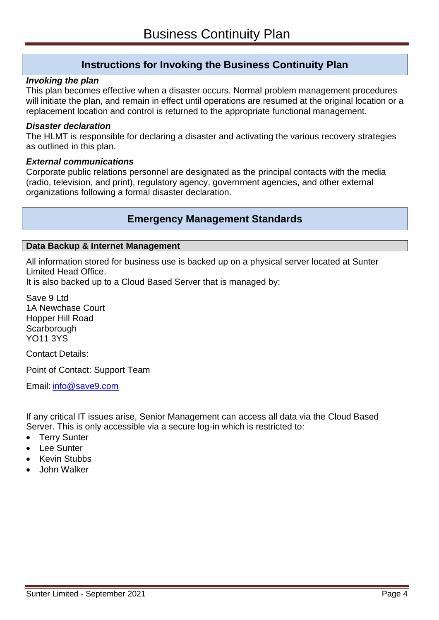# **Instructions for Invoking the Business Continuity Plan**

#### *Invoking the plan*

This plan becomes effective when a disaster occurs. Normal problem management procedures will initiate the plan, and remain in effect until operations are resumed at the original location or a replacement location and control is returned to the appropriate functional management.

#### *Disaster declaration*

The HLMT is responsible for declaring a disaster and activating the various recovery strategies as outlined in this plan.

#### *External communications*

Corporate public relations personnel are designated as the principal contacts with the media (radio, television, and print), regulatory agency, government agencies, and other external organizations following a formal disaster declaration.

# **Emergency Management Standards**

#### **Data Backup & Internet Management**

All information stored for business use is backed up on a physical server located at Sunter Limited Head Office.

It is also backed up to a Cloud Based Server that is managed by:

Save 9 Ltd 1A Newchase Court Hopper Hill Road **Scarborough** YO11 3YS

Contact Details:

Point of Contact: Support Team

Email: [info@save9.com](mailto:info@save9.com)

If any critical IT issues arise, Senior Management can access all data via the Cloud Based Server. This is only accessible via a secure log-in which is restricted to:

- **Terry Sunter**
- Lee Sunter
- Kevin Stubbs
- John Walker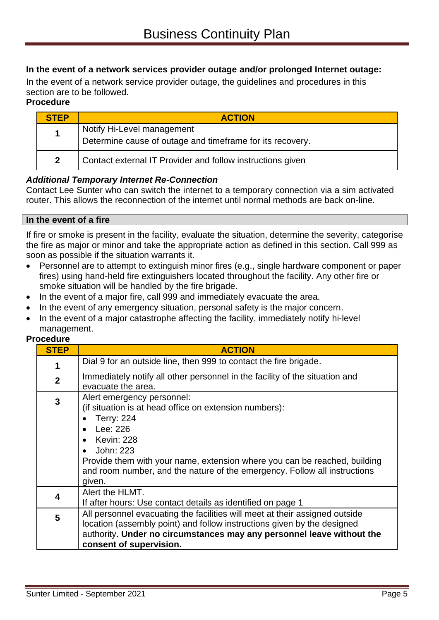# **In the event of a network services provider outage and/or prolonged Internet outage:**

In the event of a network service provider outage, the guidelines and procedures in this section are to be followed.

## **Procedure**

| <b>STEP</b>  | <b>ACTION</b>                                                                           |
|--------------|-----------------------------------------------------------------------------------------|
| 1            | Notify Hi-Level management<br>Determine cause of outage and timeframe for its recovery. |
| $\mathbf{2}$ | Contact external IT Provider and follow instructions given                              |

# *Additional Temporary Internet Re-Connection*

Contact Lee Sunter who can switch the internet to a temporary connection via a sim activated router. This allows the reconnection of the internet until normal methods are back on-line.

# **In the event of a fire**

If fire or smoke is present in the facility, evaluate the situation, determine the severity, categorise the fire as major or minor and take the appropriate action as defined in this section. Call 999 as soon as possible if the situation warrants it.

- Personnel are to attempt to extinguish minor fires (e.g., single hardware component or paper fires) using hand-held fire extinguishers located throughout the facility. Any other fire or smoke situation will be handled by the fire brigade.
- In the event of a major fire, call 999 and immediately evacuate the area.
- In the event of any emergency situation, personal safety is the major concern.
- In the event of a major catastrophe affecting the facility, immediately notify hi-level management.

#### **Procedure**

| <b>STEP</b>    | <b>ACTION</b>                                                                                                                                                                                                                                                                                                                     |
|----------------|-----------------------------------------------------------------------------------------------------------------------------------------------------------------------------------------------------------------------------------------------------------------------------------------------------------------------------------|
|                | Dial 9 for an outside line, then 999 to contact the fire brigade.                                                                                                                                                                                                                                                                 |
| $\overline{2}$ | Immediately notify all other personnel in the facility of the situation and<br>evacuate the area.                                                                                                                                                                                                                                 |
| 3              | Alert emergency personnel:<br>(if situation is at head office on extension numbers):<br><b>Terry: 224</b><br>Lee: 226<br>Kevin: 228<br>John: 223<br>$\bullet$<br>Provide them with your name, extension where you can be reached, building<br>and room number, and the nature of the emergency. Follow all instructions<br>given. |
| 4              | Alert the HLMT.<br>If after hours: Use contact details as identified on page 1                                                                                                                                                                                                                                                    |
| 5              | All personnel evacuating the facilities will meet at their assigned outside<br>location (assembly point) and follow instructions given by the designed<br>authority. Under no circumstances may any personnel leave without the<br>consent of supervision.                                                                        |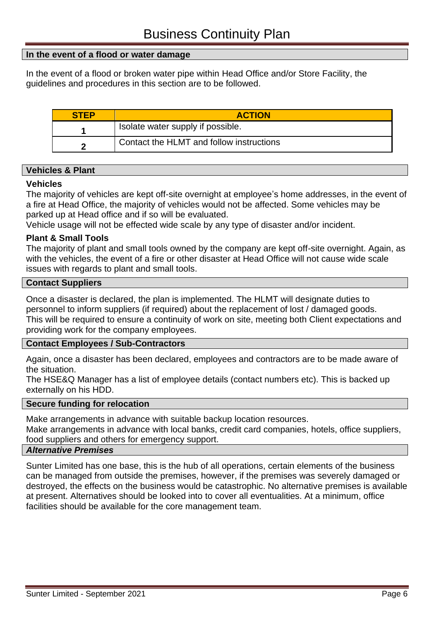## **In the event of a flood or water damage**

In the event of a flood or broken water pipe within Head Office and/or Store Facility, the guidelines and procedures in this section are to be followed.

| <b>STEP</b> | <b>ACTION</b>                            |
|-------------|------------------------------------------|
|             | Isolate water supply if possible.        |
|             | Contact the HLMT and follow instructions |

#### **Vehicles & Plant**

#### **Vehicles**

The majority of vehicles are kept off-site overnight at employee's home addresses, in the event of a fire at Head Office, the majority of vehicles would not be affected. Some vehicles may be parked up at Head office and if so will be evaluated.

Vehicle usage will not be effected wide scale by any type of disaster and/or incident.

#### **Plant & Small Tools**

The majority of plant and small tools owned by the company are kept off-site overnight. Again, as with the vehicles, the event of a fire or other disaster at Head Office will not cause wide scale issues with regards to plant and small tools.

#### **Contact Suppliers**

Once a disaster is declared, the plan is implemented. The HLMT will designate duties to personnel to inform suppliers (if required) about the replacement of lost / damaged goods. This will be required to ensure a continuity of work on site, meeting both Client expectations and providing work for the company employees.

#### **Contact Employees / Sub-Contractors**

Again, once a disaster has been declared, employees and contractors are to be made aware of the situation.

The HSE&Q Manager has a list of employee details (contact numbers etc). This is backed up externally on his HDD.

#### **Secure funding for relocation**

Make arrangements in advance with suitable backup location resources.

Make arrangements in advance with local banks, credit card companies, hotels, office suppliers, food suppliers and others for emergency support.

#### *Alternative Premises*

Sunter Limited has one base, this is the hub of all operations, certain elements of the business can be managed from outside the premises, however, if the premises was severely damaged or destroyed, the effects on the business would be catastrophic. No alternative premises is available at present. Alternatives should be looked into to cover all eventualities. At a minimum, office facilities should be available for the core management team.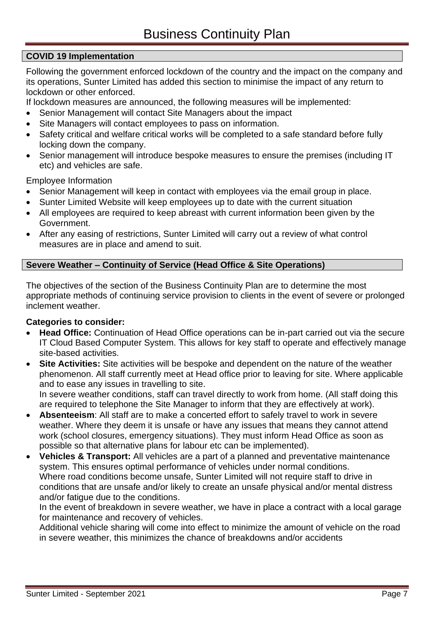# **COVID 19 Implementation**

Following the government enforced lockdown of the country and the impact on the company and its operations, Sunter Limited has added this section to minimise the impact of any return to lockdown or other enforced.

If lockdown measures are announced, the following measures will be implemented:

- Senior Management will contact Site Managers about the impact
- Site Managers will contact employees to pass on information.
- Safety critical and welfare critical works will be completed to a safe standard before fully locking down the company.
- Senior management will introduce bespoke measures to ensure the premises (including IT etc) and vehicles are safe.

Employee Information

- Senior Management will keep in contact with employees via the email group in place.
- Sunter Limited Website will keep employees up to date with the current situation
- All employees are required to keep abreast with current information been given by the Government.
- After any easing of restrictions, Sunter Limited will carry out a review of what control measures are in place and amend to suit.

# **Severe Weather – Continuity of Service (Head Office & Site Operations)**

The objectives of the section of the Business Continuity Plan are to determine the most appropriate methods of continuing service provision to clients in the event of severe or prolonged inclement weather.

# **Categories to consider:**

- **Head Office:** Continuation of Head Office operations can be in-part carried out via the secure IT Cloud Based Computer System. This allows for key staff to operate and effectively manage site-based activities.
- **Site Activities:** Site activities will be bespoke and dependent on the nature of the weather phenomenon. All staff currently meet at Head office prior to leaving for site. Where applicable and to ease any issues in travelling to site.

In severe weather conditions, staff can travel directly to work from home. (All staff doing this are required to telephone the Site Manager to inform that they are effectively at work).

- **Absenteeism**: All staff are to make a concerted effort to safely travel to work in severe weather. Where they deem it is unsafe or have any issues that means they cannot attend work (school closures, emergency situations). They must inform Head Office as soon as possible so that alternative plans for labour etc can be implemented).
- **Vehicles & Transport:** All vehicles are a part of a planned and preventative maintenance system. This ensures optimal performance of vehicles under normal conditions. Where road conditions become unsafe, Sunter Limited will not require staff to drive in conditions that are unsafe and/or likely to create an unsafe physical and/or mental distress and/or fatigue due to the conditions.

In the event of breakdown in severe weather, we have in place a contract with a local garage for maintenance and recovery of vehicles.

Additional vehicle sharing will come into effect to minimize the amount of vehicle on the road in severe weather, this minimizes the chance of breakdowns and/or accidents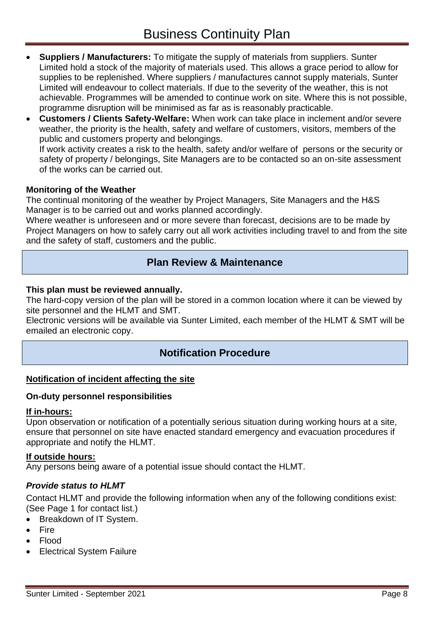- **Suppliers / Manufacturers:** To mitigate the supply of materials from suppliers. Sunter Limited hold a stock of the majority of materials used. This allows a grace period to allow for supplies to be replenished. Where suppliers / manufactures cannot supply materials, Sunter Limited will endeavour to collect materials. If due to the severity of the weather, this is not achievable. Programmes will be amended to continue work on site. Where this is not possible, programme disruption will be minimised as far as is reasonably practicable.
- **Customers / Clients Safety-Welfare:** When work can take place in inclement and/or severe weather, the priority is the health, safety and welfare of customers, visitors, members of the public and customers property and belongings.

If work activity creates a risk to the health, safety and/or welfare of persons or the security or safety of property / belongings, Site Managers are to be contacted so an on-site assessment of the works can be carried out.

## **Monitoring of the Weather**

The continual monitoring of the weather by Project Managers, Site Managers and the H&S Manager is to be carried out and works planned accordingly.

Where weather is unforeseen and or more severe than forecast, decisions are to be made by Project Managers on how to safely carry out all work activities including travel to and from the site and the safety of staff, customers and the public.

# **Plan Review & Maintenance**

#### **This plan must be reviewed annually.**

The hard-copy version of the plan will be stored in a common location where it can be viewed by site personnel and the HLMT and SMT.

Electronic versions will be available via Sunter Limited, each member of the HLMT & SMT will be emailed an electronic copy.

# **Notification Procedure**

# **Notification of incident affecting the site**

#### **On-duty personnel responsibilities**

#### **If in-hours:**

Upon observation or notification of a potentially serious situation during working hours at a site, ensure that personnel on site have enacted standard emergency and evacuation procedures if appropriate and notify the HLMT.

#### **If outside hours:**

Any persons being aware of a potential issue should contact the HLMT.

#### *Provide status to HLMT*

Contact HLMT and provide the following information when any of the following conditions exist: (See Page 1 for contact list.)

- Breakdown of IT System.
- $Fire$
- Flood
- Electrical System Failure